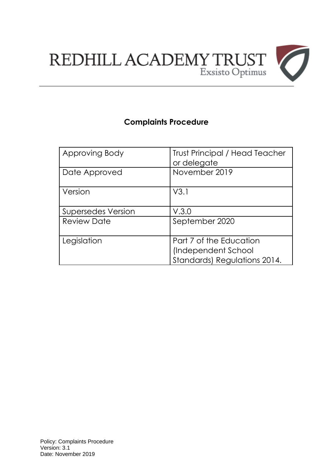

# **Complaints Procedure**

| Approving Body            | <b>Trust Principal / Head Teacher</b><br>or delegate                           |
|---------------------------|--------------------------------------------------------------------------------|
| Date Approved             | November 2019                                                                  |
| Version                   | V3.1                                                                           |
| <b>Supersedes Version</b> | V.3.0                                                                          |
| <b>Review Date</b>        | September 2020                                                                 |
| Legislation               | Part 7 of the Education<br>(Independent School<br>Standards) Regulations 2014. |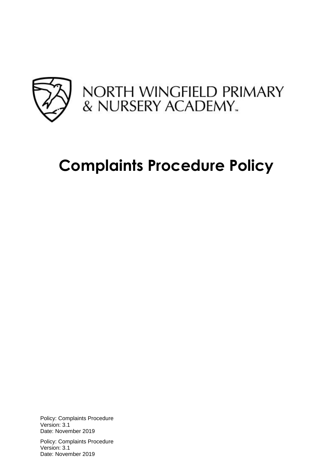

# **Complaints Procedure Policy**

Policy: Complaints Procedure Version: 3.1 Date: November 2019

Policy: Complaints Procedure Version: 3.1 Date: November 2019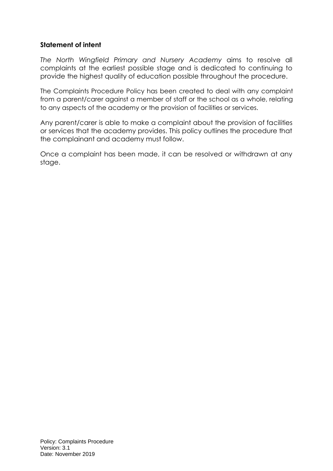#### **Statement of intent**

*The North Wingfield Primary and Nursery Academy* aims to resolve all complaints at the earliest possible stage and is dedicated to continuing to provide the highest quality of education possible throughout the procedure.

The Complaints Procedure Policy has been created to deal with any complaint from a parent/carer against a member of staff or the school as a whole, relating to any aspects of the academy or the provision of facilities or services.

Any parent/carer is able to make a complaint about the provision of facilities or services that the academy provides. This policy outlines the procedure that the complainant and academy must follow.

Once a complaint has been made, it can be resolved or withdrawn at any stage.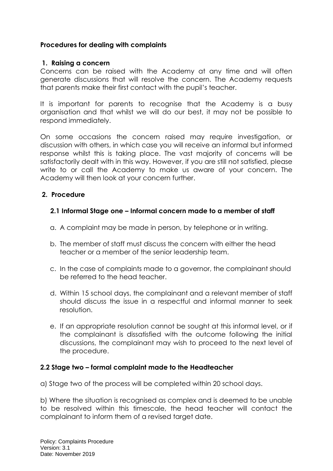#### **Procedures for dealing with complaints**

#### **1. Raising a concern**

Concerns can be raised with the Academy at any time and will often generate discussions that will resolve the concern. The Academy requests that parents make their first contact with the pupil's teacher.

It is important for parents to recognise that the Academy is a busy organisation and that whilst we will do our best, it may not be possible to respond immediately.

On some occasions the concern raised may require investigation, or discussion with others, in which case you will receive an informal but informed response whilst this is taking place. The vast majority of concerns will be satisfactorily dealt with in this way. However, if you are still not satisfied, please write to or call the Academy to make us aware of your concern. The Academy will then look at your concern further.

#### **2. Procedure**

#### **2.1 Informal Stage one – Informal concern made to a member of staff**

- a. A complaint may be made in person, by telephone or in writing.
- b. The member of staff must discuss the concern with either the head teacher or a member of the senior leadership team.
- c. In the case of complaints made to a governor, the complainant should be referred to the head teacher.
- d. Within 15 school days, the complainant and a relevant member of staff should discuss the issue in a respectful and informal manner to seek resolution.
- e. If an appropriate resolution cannot be sought at this informal level, or if the complainant is dissatisfied with the outcome following the initial discussions, the complainant may wish to proceed to the next level of the procedure.

#### **2.2 Stage two – formal complaint made to the Headteacher**

a) Stage two of the process will be completed within 20 school days.

b) Where the situation is recognised as complex and is deemed to be unable to be resolved within this timescale, the head teacher will contact the complainant to inform them of a revised target date.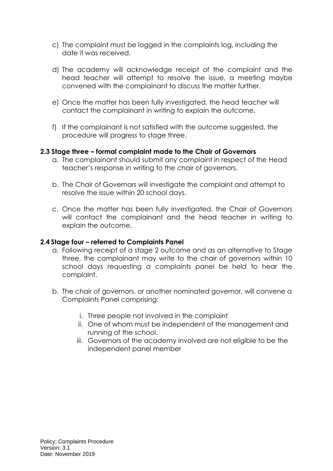- c) The complaint must be logged in the complaints log, including the date it was received.
- d) The academy will acknowledge receipt of the complaint and the head teacher will attempt to resolve the issue, a meeting maybe convened with the complainant to discuss the matter further.
- e) Once the matter has been fully investigated, the head teacher will contact the complainant in writing to explain the outcome.
- f) If the complainant is not satisfied with the outcome suggested, the procedure will progress to stage three.

#### **2.3 Stage three – formal complaint made to the Chair of Governors**

- a. The complainant should submit any complaint in respect of the Head teacher's response in writing to the chair of governors.
- b. The Chair of Governors will investigate the complaint and attempt to resolve the issue within 20 school days.
- c. Once the matter has been fully investigated, the Chair of Governors will contact the complainant and the head teacher in writing to explain the outcome.

#### **2.4 Stage four – referred to Complaints Panel**

- a. Following receipt of a stage 2 outcome and as an alternative to Stage three, the complainant may write to the chair of governors within 10 school days requesting a complaints panel be held to hear the complaint.
- b. The chair of governors, or another nominated governor, will convene a Complaints Panel comprising:
	- i. Three people not involved in the complaint
	- ii. One of whom must be independent of the management and running of the school.
	- iii. Governors of the academy involved are not eligible to be the independent panel member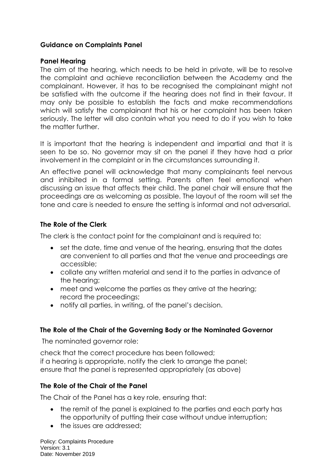#### **Guidance on Complaints Panel**

#### **Panel Hearing**

The aim of the hearing, which needs to be held in private, will be to resolve the complaint and achieve reconciliation between the Academy and the complainant. However, it has to be recognised the complainant might not be satisfied with the outcome if the hearing does not find in their favour. It may only be possible to establish the facts and make recommendations which will satisfy the complainant that his or her complaint has been taken seriously. The letter will also contain what you need to do if you wish to take the matter further.

It is important that the hearing is independent and impartial and that it is seen to be so. No governor may sit on the panel if they have had a prior involvement in the complaint or in the circumstances surrounding it.

An effective panel will acknowledge that many complainants feel nervous and inhibited in a formal setting. Parents often feel emotional when discussing an issue that affects their child. The panel chair will ensure that the proceedings are as welcoming as possible. The layout of the room will set the tone and care is needed to ensure the setting is informal and not adversarial.

#### **The Role of the Clerk**

The clerk is the contact point for the complainant and is required to:

- set the date, time and venue of the hearing, ensuring that the dates are convenient to all parties and that the venue and proceedings are accessible;
- collate any written material and send it to the parties in advance of the hearing;
- meet and welcome the parties as they arrive at the hearing; record the proceedings;
- notify all parties, in writing, of the panel's decision.

#### **The Role of the Chair of the Governing Body or the Nominated Governor**

The nominated governor role:

check that the correct procedure has been followed; if a hearing is appropriate, notify the clerk to arrange the panel; ensure that the panel is represented appropriately (as above)

#### **The Role of the Chair of the Panel**

The Chair of the Panel has a key role, ensuring that:

- the remit of the panel is explained to the parties and each party has the opportunity of putting their case without undue interruption;
- the issues are addressed:

Policy: Complaints Procedure Version: 3.1 Date: November 2019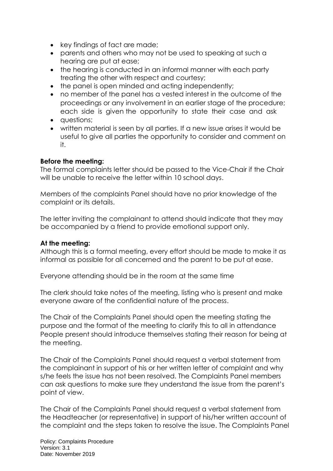- key findings of fact are made;
- parents and others who may not be used to speaking at such a hearing are put at ease;
- the hearing is conducted in an informal manner with each party treating the other with respect and courtesy;
- the panel is open minded and acting independently;
- no member of the panel has a vested interest in the outcome of the proceedings or any involvement in an earlier stage of the procedure; each side is given the opportunity to state their case and ask
- auestions:
- written material is seen by all parties. If a new issue arises it would be useful to give all parties the opportunity to consider and comment on it.

#### **Before the meeting:**

The formal complaints letter should be passed to the Vice-Chair if the Chair will be unable to receive the letter within 10 school days.

Members of the complaints Panel should have no prior knowledge of the complaint or its details.

The letter inviting the complainant to attend should indicate that they may be accompanied by a friend to provide emotional support only.

#### **At the meeting:**

Although this is a formal meeting, every effort should be made to make it as informal as possible for all concerned and the parent to be put at ease.

Everyone attending should be in the room at the same time

The clerk should take notes of the meeting, listing who is present and make everyone aware of the confidential nature of the process.

The Chair of the Complaints Panel should open the meeting stating the purpose and the format of the meeting to clarify this to all in attendance People present should introduce themselves stating their reason for being at the meeting.

The Chair of the Complaints Panel should request a verbal statement from the complainant in support of his or her written letter of complaint and why s/he feels the issue has not been resolved. The Complaints Panel members can ask questions to make sure they understand the issue from the parent's point of view.

The Chair of the Complaints Panel should request a verbal statement from the Headteacher (or representative) in support of his/her written account of the complaint and the steps taken to resolve the issue. The Complaints Panel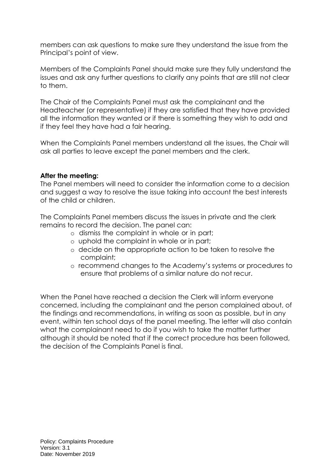members can ask questions to make sure they understand the issue from the Principal's point of view.

Members of the Complaints Panel should make sure they fully understand the issues and ask any further questions to clarify any points that are still not clear to them.

The Chair of the Complaints Panel must ask the complainant and the Headteacher (or representative) if they are satisfied that they have provided all the information they wanted or if there is something they wish to add and if they feel they have had a fair hearing.

When the Complaints Panel members understand all the issues, the Chair will ask all parties to leave except the panel members and the clerk.

#### **After the meeting:**

The Panel members will need to consider the information come to a decision and suggest a way to resolve the issue taking into account the best interests of the child or children.

The Complaints Panel members discuss the issues in private and the clerk remains to record the decision. The panel can:

- o dismiss the complaint in whole or in part;
- o uphold the complaint in whole or in part;
- o decide on the appropriate action to be taken to resolve the complaint;
- o recommend changes to the Academy's systems or procedures to ensure that problems of a similar nature do not recur.

When the Panel have reached a decision the Clerk will inform everyone concerned, including the complainant and the person complained about, of the findings and recommendations, in writing as soon as possible, but in any event, within ten school days of the panel meeting. The letter will also contain what the complainant need to do if you wish to take the matter further although it should be noted that if the correct procedure has been followed, the decision of the Complaints Panel is final.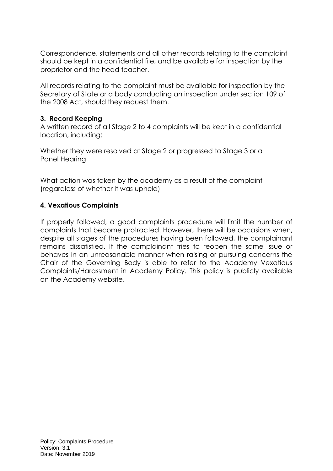Correspondence, statements and all other records relating to the complaint should be kept in a confidential file, and be available for inspection by the proprietor and the head teacher.

All records relating to the complaint must be available for inspection by the Secretary of State or a body conducting an inspection under section 109 of the 2008 Act, should they request them.

#### **3. Record Keeping**

A written record of all Stage 2 to 4 complaints will be kept in a confidential location, including:

Whether they were resolved at Stage 2 or progressed to Stage 3 or a Panel Hearing

What action was taken by the academy as a result of the complaint (regardless of whether it was upheld)

#### **4. Vexatious Complaints**

If properly followed, a good complaints procedure will limit the number of complaints that become protracted. However, there will be occasions when, despite all stages of the procedures having been followed, the complainant remains dissatisfied. If the complainant tries to reopen the same issue or behaves in an unreasonable manner when raising or pursuing concerns the Chair of the Governing Body is able to refer to the Academy Vexatious Complaints/Harassment in Academy Policy. This policy is publicly available on the Academy website.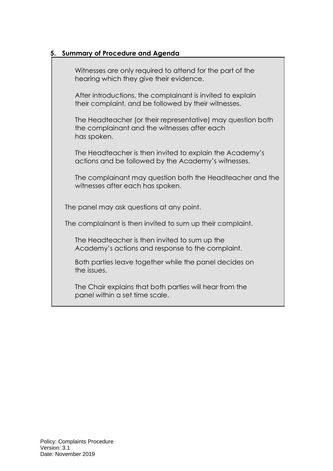### **5. Summary of Procedure and Agenda**

Witnesses are only required to attend for the part of the hearing which they give their evidence.

After introductions, the complainant is invited to explain their complaint, and be followed by their witnesses.

The Headteacher (or their representative) may question both the complainant and the witnesses after each has spoken.

The Headteacher is then invited to explain the Academy's actions and be followed by the Academy's witnesses.

The complainant may question both the Headteacher and the witnesses after each has spoken.

The panel may ask questions at any point.

The complainant is then invited to sum up their complaint.

The Headteacher is then invited to sum up the Academy's actions and response to the complaint.

Both parties leave together while the panel decides on the issues.

The Chair explains that both parties will hear from the panel within a set time scale.